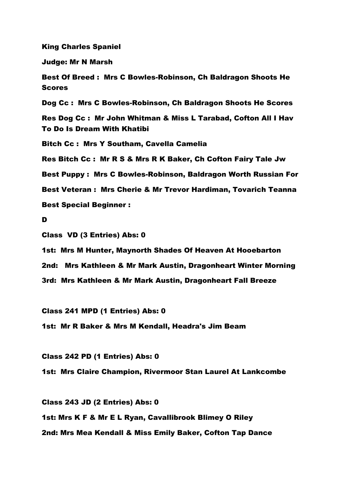King Charles Spaniel

Judge: Mr N Marsh

Best Of Breed : Mrs C Bowles-Robinson, Ch Baldragon Shoots He **Scores** 

Dog Cc : Mrs C Bowles-Robinson, Ch Baldragon Shoots He Scores

Res Dog Cc : Mr John Whitman & Miss L Tarabad, Cofton All I Hav To Do Is Dream With Khatibi

Bitch Cc : Mrs Y Southam, Cavella Camelia

Res Bitch Cc : Mr R S & Mrs R K Baker, Ch Cofton Fairy Tale Jw

Best Puppy : Mrs C Bowles-Robinson, Baldragon Worth Russian For

Best Veteran : Mrs Cherie & Mr Trevor Hardiman, Tovarich Teanna

Best Special Beginner :

D

Class VD (3 Entries) Abs: 0

1st: Mrs M Hunter, Maynorth Shades Of Heaven At Hooebarton

2nd: Mrs Kathleen & Mr Mark Austin, Dragonheart Winter Morning

3rd: Mrs Kathleen & Mr Mark Austin, Dragonheart Fall Breeze

Class 241 MPD (1 Entries) Abs: 0

1st: Mr R Baker & Mrs M Kendall, Headra's Jim Beam

Class 242 PD (1 Entries) Abs: 0

1st: Mrs Claire Champion, Rivermoor Stan Laurel At Lankcombe

Class 243 JD (2 Entries) Abs: 0 1st: Mrs K F & Mr E L Ryan, Cavallibrook Blimey O Riley 2nd: Mrs Mea Kendall & Miss Emily Baker, Cofton Tap Dance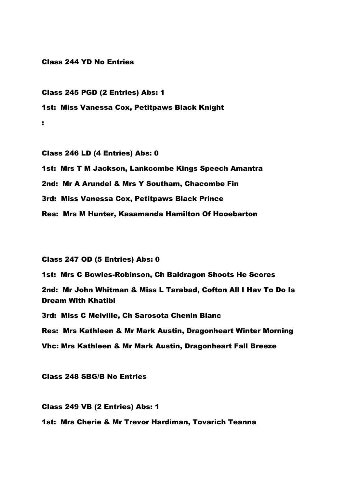Class 244 YD No Entries

Class 245 PGD (2 Entries) Abs: 1 1st: Miss Vanessa Cox, Petitpaws Black Knight :

Class 246 LD (4 Entries) Abs: 0 1st: Mrs T M Jackson, Lankcombe Kings Speech Amantra 2nd: Mr A Arundel & Mrs Y Southam, Chacombe Fin 3rd: Miss Vanessa Cox, Petitpaws Black Prince Res: Mrs M Hunter, Kasamanda Hamilton Of Hooebarton

Class 247 OD (5 Entries) Abs: 0

1st: Mrs C Bowles-Robinson, Ch Baldragon Shoots He Scores 2nd: Mr John Whitman & Miss L Tarabad, Cofton All I Hav To Do Is Dream With Khatibi

3rd: Miss C Melville, Ch Sarosota Chenin Blanc

Res: Mrs Kathleen & Mr Mark Austin, Dragonheart Winter Morning Vhc: Mrs Kathleen & Mr Mark Austin, Dragonheart Fall Breeze

Class 248 SBG/B No Entries

Class 249 VB (2 Entries) Abs: 1 1st: Mrs Cherie & Mr Trevor Hardiman, Tovarich Teanna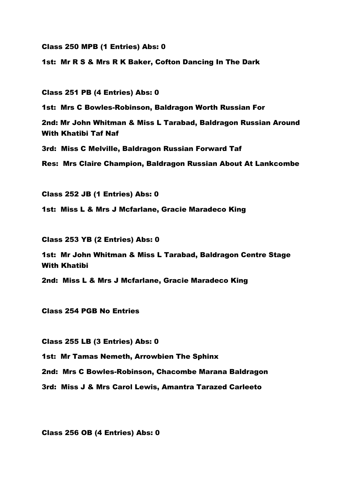Class 250 MPB (1 Entries) Abs: 0

1st: Mr R S & Mrs R K Baker, Cofton Dancing In The Dark

Class 251 PB (4 Entries) Abs: 0

1st: Mrs C Bowles-Robinson, Baldragon Worth Russian For

2nd: Mr John Whitman & Miss L Tarabad, Baldragon Russian Around With Khatibi Taf Naf

3rd: Miss C Melville, Baldragon Russian Forward Taf

Res: Mrs Claire Champion, Baldragon Russian About At Lankcombe

Class 252 JB (1 Entries) Abs: 0

1st: Miss L & Mrs J Mcfarlane, Gracie Maradeco King

Class 253 YB (2 Entries) Abs: 0

1st: Mr John Whitman & Miss L Tarabad, Baldragon Centre Stage With Khatibi

2nd: Miss L & Mrs J Mcfarlane, Gracie Maradeco King

Class 254 PGB No Entries

Class 255 LB (3 Entries) Abs: 0

1st: Mr Tamas Nemeth, Arrowbien The Sphinx

2nd: Mrs C Bowles-Robinson, Chacombe Marana Baldragon

3rd: Miss J & Mrs Carol Lewis, Amantra Tarazed Carleeto

Class 256 OB (4 Entries) Abs: 0